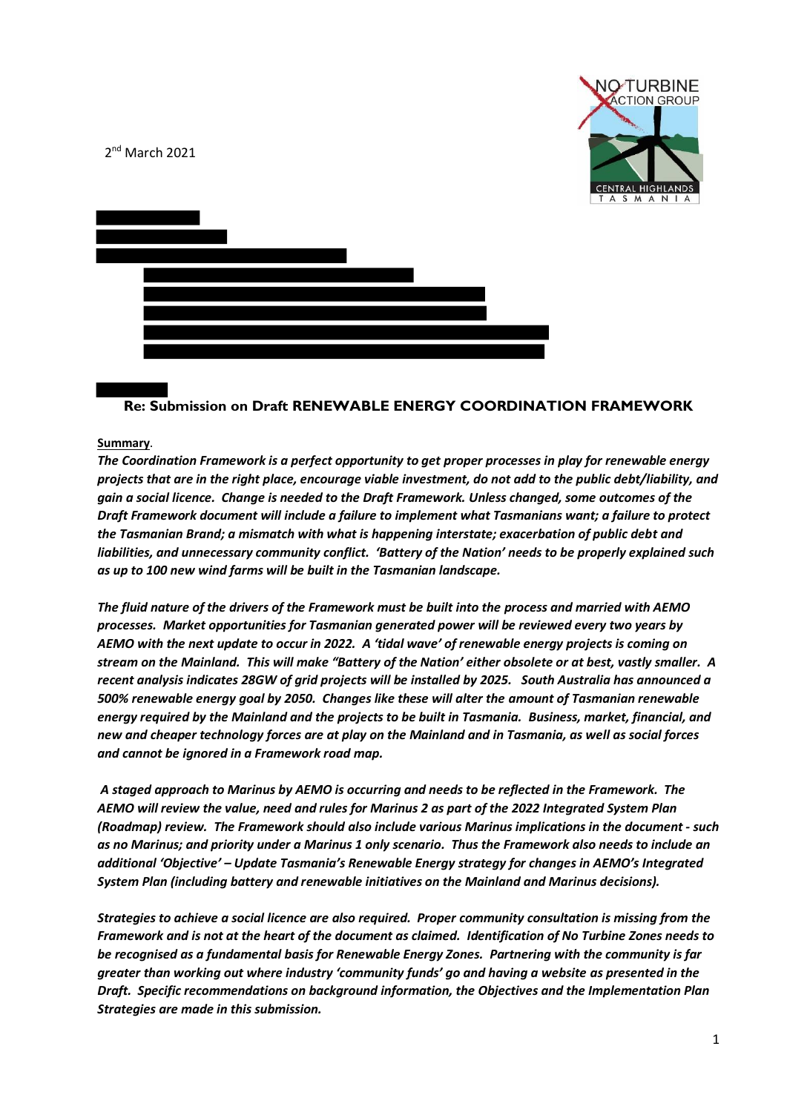

2<sup>nd</sup> March 2021



# **Re: Submission on Draft RENEWABLE ENERGY COORDINATION FRAMEWORK**

#### **Summary**.

*The Coordination Framework is a perfect opportunity to get proper processes in play for renewable energy projects that are in the right place, encourage viable investment, do not add to the public debt/liability, and gain a social licence. Change is needed to the Draft Framework. Unless changed, some outcomes of the Draft Framework document will include a failure to implement what Tasmanians want; a failure to protect the Tasmanian Brand; a mismatch with what is happening interstate; exacerbation of public debt and liabilities, and unnecessary community conflict. 'Battery of the Nation' needs to be properly explained such as up to 100 new wind farms will be built in the Tasmanian landscape.* 

*The fluid nature of the drivers of the Framework must be built into the process and married with AEMO processes. Market opportunities for Tasmanian generated power will be reviewed every two years by AEMO with the next update to occur in 2022. A 'tidal wave' of renewable energy projects is coming on stream on the Mainland. This will make "Battery of the Nation' either obsolete or at best, vastly smaller. A recent analysis indicates 28GW of grid projects will be installed by 2025. South Australia has announced a 500% renewable energy goal by 2050. Changes like these will alter the amount of Tasmanian renewable energy required by the Mainland and the projects to be built in Tasmania. Business, market, financial, and new and cheaper technology forces are at play on the Mainland and in Tasmania, as well as social forces and cannot be ignored in a Framework road map.* 

*A staged approach to Marinus by AEMO is occurring and needs to be reflected in the Framework. The AEMO will review the value, need and rules for Marinus 2 as part of the 2022 Integrated System Plan (Roadmap) review. The Framework should also include various Marinus implications in the document - such as no Marinus; and priority under a Marinus 1 only scenario. Thus the Framework also needs to include an additional 'Objective' – Update Tasmania's Renewable Energy strategy for changes in AEMO's Integrated System Plan (including battery and renewable initiatives on the Mainland and Marinus decisions).*

*Strategies to achieve a social licence are also required. Proper community consultation is missing from the Framework and is not at the heart of the document as claimed. Identification of No Turbine Zones needs to be recognised as a fundamental basis for Renewable Energy Zones. Partnering with the community is far greater than working out where industry 'community funds' go and having a website as presented in the Draft. Specific recommendations on background information, the Objectives and the Implementation Plan Strategies are made in this submission.*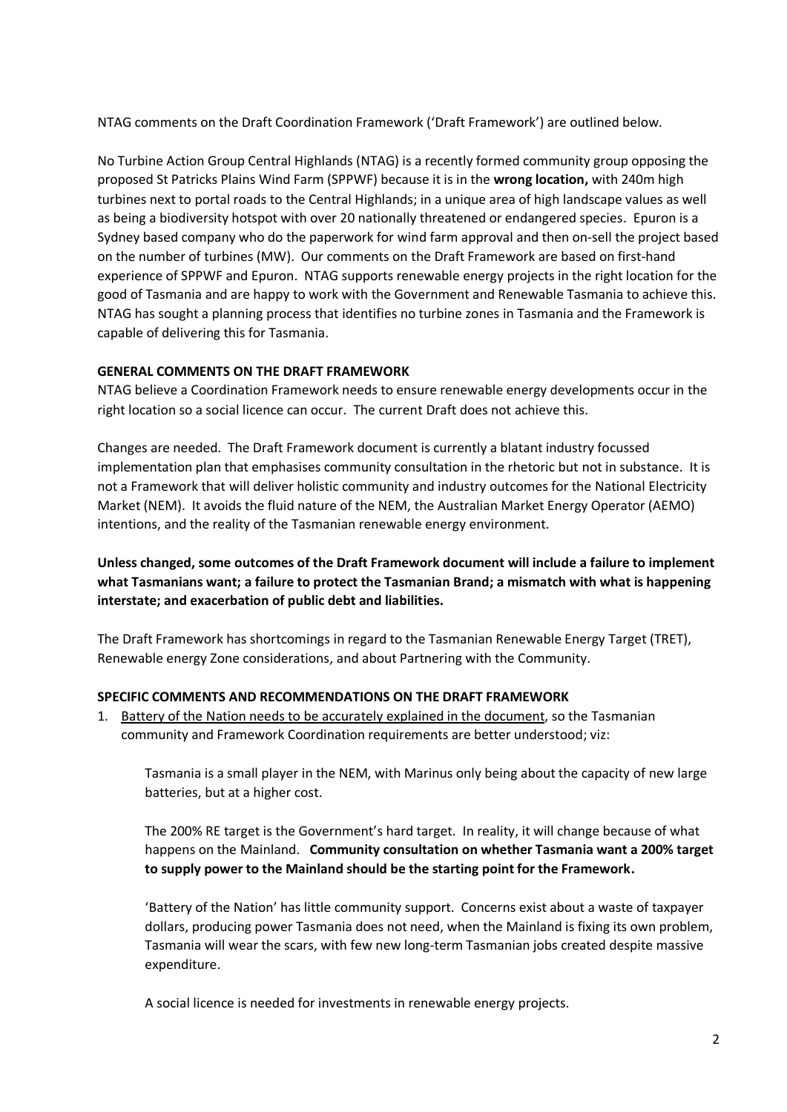NTAG comments on the Draft Coordination Framework ('Draft Framework') are outlined below.

No Turbine Action Group Central Highlands (NTAG) is a recently formed community group opposing the proposed St Patricks Plains Wind Farm (SPPWF) because it is in the **wrong location,** with 240m high turbines next to portal roads to the Central Highlands; in a unique area of high landscape values as well as being a biodiversity hotspot with over 20 nationally threatened or endangered species. Epuron is a Sydney based company who do the paperwork for wind farm approval and then on-sell the project based on the number of turbines (MW). Our comments on the Draft Framework are based on first-hand experience of SPPWF and Epuron. NTAG supports renewable energy projects in the right location for the good of Tasmania and are happy to work with the Government and Renewable Tasmania to achieve this. NTAG has sought a planning process that identifies no turbine zones in Tasmania and the Framework is capable of delivering this for Tasmania.

### **GENERAL COMMENTS ON THE DRAFT FRAMEWORK**

NTAG believe a Coordination Framework needs to ensure renewable energy developments occur in the right location so a social licence can occur. The current Draft does not achieve this.

Changes are needed. The Draft Framework document is currently a blatant industry focussed implementation plan that emphasises community consultation in the rhetoric but not in substance. It is not a Framework that will deliver holistic community and industry outcomes for the National Electricity Market (NEM). It avoids the fluid nature of the NEM, the Australian Market Energy Operator (AEMO) intentions, and the reality of the Tasmanian renewable energy environment.

**Unless changed, some outcomes of the Draft Framework document will include a failure to implement what Tasmanians want; a failure to protect the Tasmanian Brand; a mismatch with what is happening interstate; and exacerbation of public debt and liabilities.** 

The Draft Framework has shortcomings in regard to the Tasmanian Renewable Energy Target (TRET), Renewable energy Zone considerations, and about Partnering with the Community.

#### **SPECIFIC COMMENTS AND RECOMMENDATIONS ON THE DRAFT FRAMEWORK**

1. Battery of the Nation needs to be accurately explained in the document, so the Tasmanian community and Framework Coordination requirements are better understood; viz:

Tasmania is a small player in the NEM, with Marinus only being about the capacity of new large batteries, but at a higher cost.

The 200% RE target is the Government's hard target. In reality, it will change because of what happens on the Mainland. **Community consultation on whether Tasmania want a 200% target to supply power to the Mainland should be the starting point for the Framework.**

'Battery of the Nation' has little community support. Concerns exist about a waste of taxpayer dollars, producing power Tasmania does not need, when the Mainland is fixing its own problem, Tasmania will wear the scars, with few new long-term Tasmanian jobs created despite massive expenditure.

A social licence is needed for investments in renewable energy projects.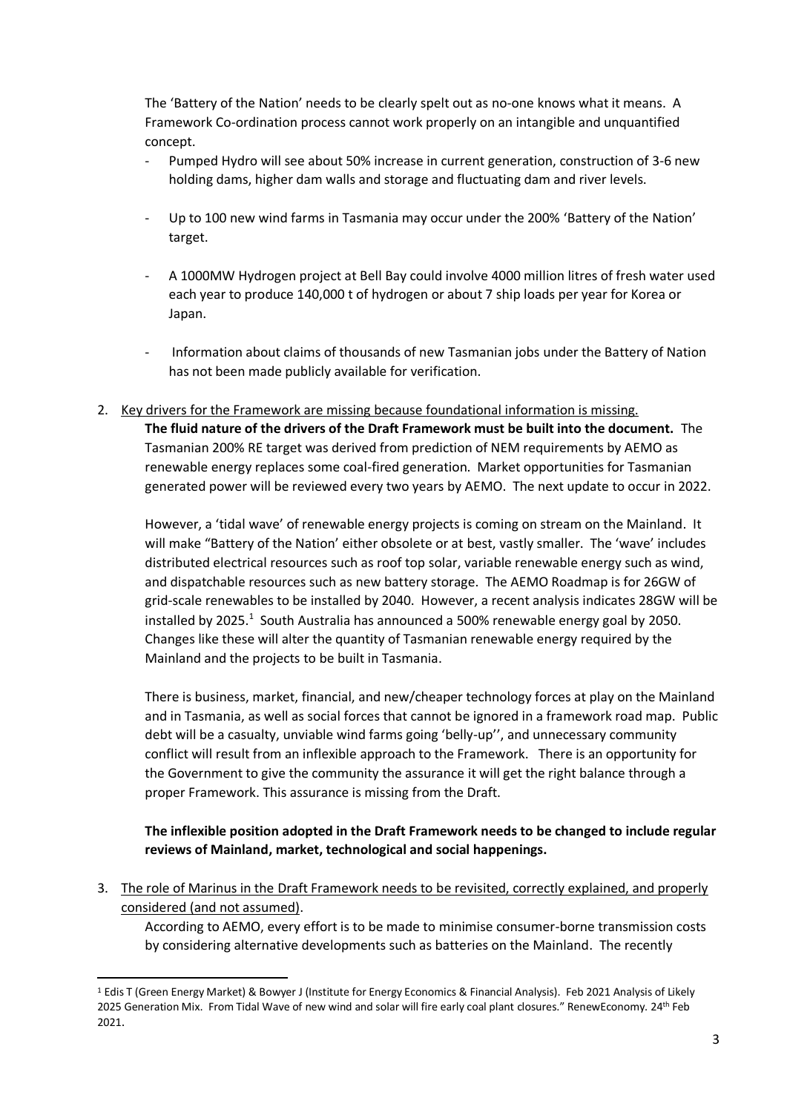The 'Battery of the Nation' needs to be clearly spelt out as no-one knows what it means. A Framework Co-ordination process cannot work properly on an intangible and unquantified concept.

- Pumped Hydro will see about 50% increase in current generation, construction of 3-6 new holding dams, higher dam walls and storage and fluctuating dam and river levels.
- Up to 100 new wind farms in Tasmania may occur under the 200% 'Battery of the Nation' target.
- A 1000MW Hydrogen project at Bell Bay could involve 4000 million litres of fresh water used each year to produce 140,000 t of hydrogen or about 7 ship loads per year for Korea or Japan.
- Information about claims of thousands of new Tasmanian jobs under the Battery of Nation has not been made publicly available for verification.
- 2. Key drivers for the Framework are missing because foundational information is missing. **The fluid nature of the drivers of the Draft Framework must be built into the document.** The Tasmanian 200% RE target was derived from prediction of NEM requirements by AEMO as renewable energy replaces some coal-fired generation. Market opportunities for Tasmanian

However, a 'tidal wave' of renewable energy projects is coming on stream on the Mainland. It will make "Battery of the Nation' either obsolete or at best, vastly smaller. The 'wave' includes distributed electrical resources such as roof top solar, variable renewable energy such as wind, and dispatchable resources such as new battery storage. The AEMO Roadmap is for 26GW of grid-scale renewables to be installed by 2040. However, a recent analysis indicates 28GW will be installed by 2025.<sup>1</sup> South Australia has announced a 500% renewable energy goal by 2050. Changes like these will alter the quantity of Tasmanian renewable energy required by the Mainland and the projects to be built in Tasmania.

generated power will be reviewed every two years by AEMO. The next update to occur in 2022.

There is business, market, financial, and new/cheaper technology forces at play on the Mainland and in Tasmania, as well as social forces that cannot be ignored in a framework road map. Public debt will be a casualty, unviable wind farms going 'belly-up'', and unnecessary community conflict will result from an inflexible approach to the Framework. There is an opportunity for the Government to give the community the assurance it will get the right balance through a proper Framework. This assurance is missing from the Draft.

# **The inflexible position adopted in the Draft Framework needs to be changed to include regular reviews of Mainland, market, technological and social happenings.**

3. The role of Marinus in the Draft Framework needs to be revisited, correctly explained, and properly considered (and not assumed).

According to AEMO, every effort is to be made to minimise consumer-borne transmission costs by considering alternative developments such as batteries on the Mainland. The recently

<sup>1</sup> Edis T (Green Energy Market) & Bowyer J (Institute for Energy Economics & Financial Analysis). Feb 2021 Analysis of Likely 2025 Generation Mix. From Tidal Wave of new wind and solar will fire early coal plant closures." RenewEconomy. 24th Feb 2021.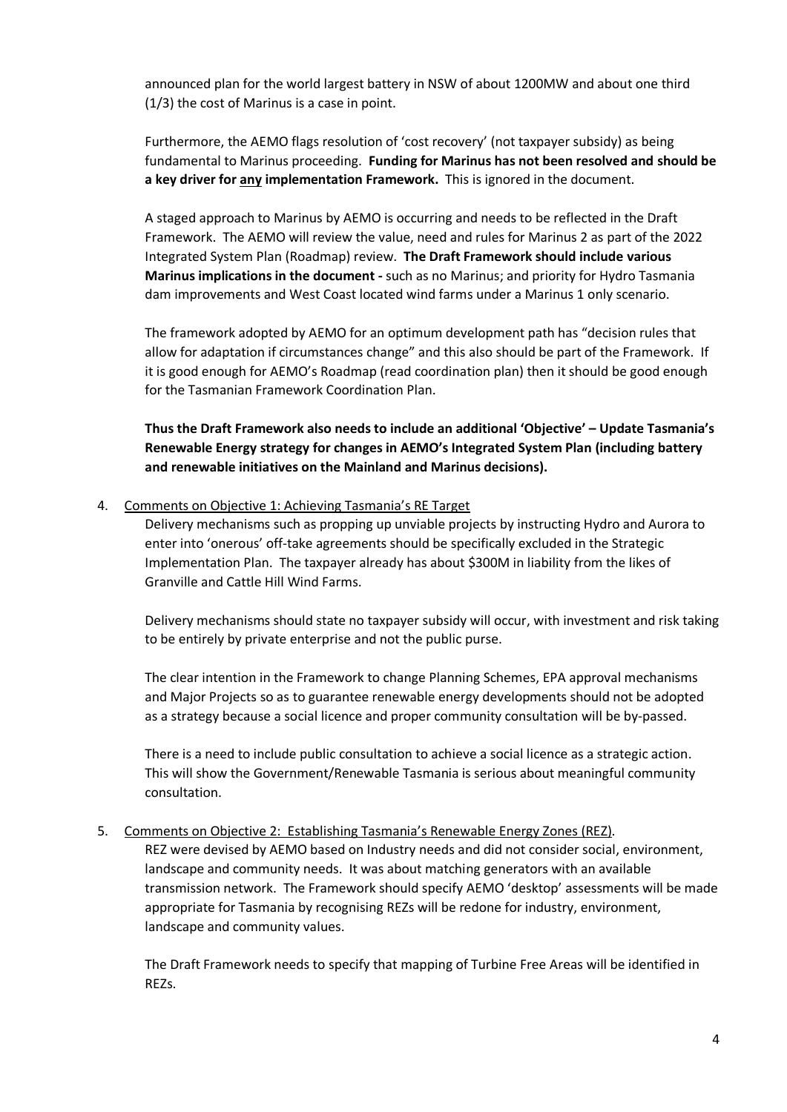announced plan for the world largest battery in NSW of about 1200MW and about one third (1/3) the cost of Marinus is a case in point.

Furthermore, the AEMO flags resolution of 'cost recovery' (not taxpayer subsidy) as being fundamental to Marinus proceeding. **Funding for Marinus has not been resolved and should be a key driver for any implementation Framework.** This is ignored in the document.

A staged approach to Marinus by AEMO is occurring and needs to be reflected in the Draft Framework. The AEMO will review the value, need and rules for Marinus 2 as part of the 2022 Integrated System Plan (Roadmap) review. **The Draft Framework should include various Marinus implications in the document -** such as no Marinus; and priority for Hydro Tasmania dam improvements and West Coast located wind farms under a Marinus 1 only scenario.

The framework adopted by AEMO for an optimum development path has "decision rules that allow for adaptation if circumstances change" and this also should be part of the Framework. If it is good enough for AEMO's Roadmap (read coordination plan) then it should be good enough for the Tasmanian Framework Coordination Plan.

**Thus the Draft Framework also needs to include an additional 'Objective' – Update Tasmania's Renewable Energy strategy for changes in AEMO's Integrated System Plan (including battery and renewable initiatives on the Mainland and Marinus decisions).** 

### 4. Comments on Objective 1: Achieving Tasmania's RE Target

Delivery mechanisms such as propping up unviable projects by instructing Hydro and Aurora to enter into 'onerous' off-take agreements should be specifically excluded in the Strategic Implementation Plan. The taxpayer already has about \$300M in liability from the likes of Granville and Cattle Hill Wind Farms.

Delivery mechanisms should state no taxpayer subsidy will occur, with investment and risk taking to be entirely by private enterprise and not the public purse.

The clear intention in the Framework to change Planning Schemes, EPA approval mechanisms and Major Projects so as to guarantee renewable energy developments should not be adopted as a strategy because a social licence and proper community consultation will be by-passed.

There is a need to include public consultation to achieve a social licence as a strategic action. This will show the Government/Renewable Tasmania is serious about meaningful community consultation.

#### 5. Comments on Objective 2: Establishing Tasmania's Renewable Energy Zones (REZ).

REZ were devised by AEMO based on Industry needs and did not consider social, environment, landscape and community needs. It was about matching generators with an available transmission network. The Framework should specify AEMO 'desktop' assessments will be made appropriate for Tasmania by recognising REZs will be redone for industry, environment, landscape and community values.

The Draft Framework needs to specify that mapping of Turbine Free Areas will be identified in REZs.